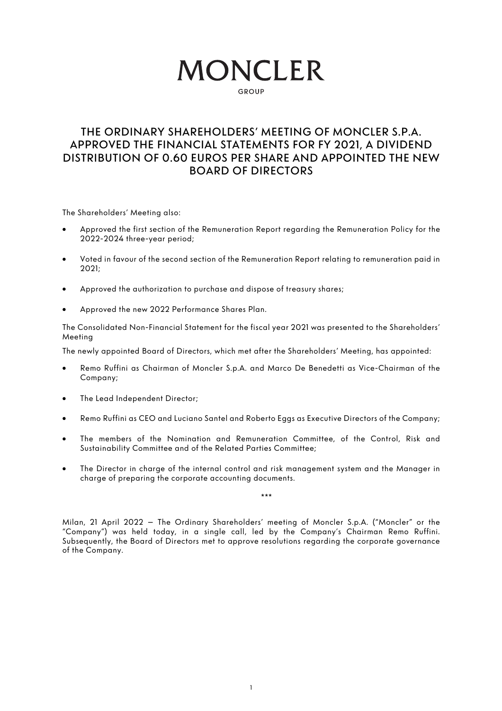# **MONCLER**

GROUD

## THE ORDINARY SHAREHOLDERS' MEETING OF MONCLER S.P.A. APPROVED THE FINANCIAL STATEMENTS FOR FY 2021, A DIVIDEND DISTRIBUTION OF 0.60 EUROS PER SHARE AND APPOINTED THE NEW BOARD OF DIRECTORS

The Shareholders' Meeting also:

- Approved the first section of the Remuneration Report regarding the Remuneration Policy for the 2022-2024 three-year period;
- Voted in favour of the second section of the Remuneration Report relating to remuneration paid in 2021;
- Approved the authorization to purchase and dispose of treasury shares;
- Approved the new 2022 Performance Shares Plan.

The Consolidated Non-Financial Statement for the fiscal year 2021 was presented to the Shareholders' Meeting

The newly appointed Board of Directors, which met after the Shareholders' Meeting, has appointed:

- Remo Ruffini as Chairman of Moncler S.p.A. and Marco De Benedetti as Vice-Chairman of the Company;
- The Lead Independent Director:
- Remo Ruffini as CEO and Luciano Santel and Roberto Eggs as Executive Directors of the Company;
- The members of the Nomination and Remuneration Committee, of the Control, Risk and Sustainability Committee and of the Related Parties Committee;
- The Director in charge of the internal control and risk management system and the Manager in charge of preparing the corporate accounting documents.

\*\*\*

Milan, 21 April 2022 – The Ordinary Shareholders' meeting of Moncler S.p.A. ("Moncler" or the "Company") was held today, in a single call, led by the Company's Chairman Remo Ruffini. Subsequently, the Board of Directors met to approve resolutions regarding the corporate governance of the Company.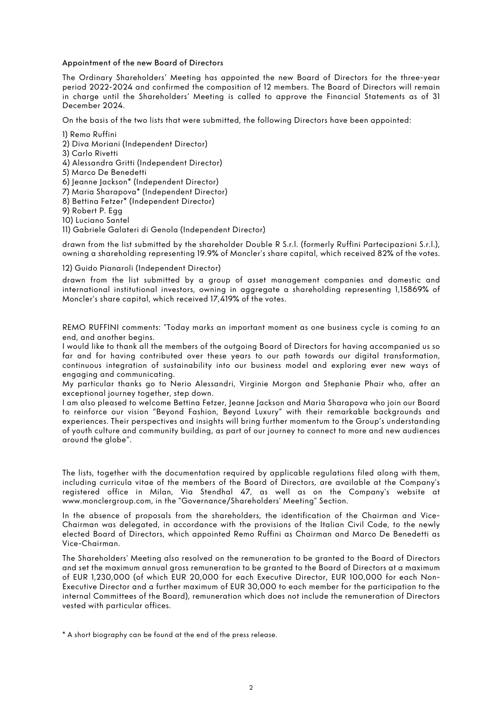#### Appointment of the new Board of Directors

The Ordinary Shareholders' Meeting has appointed the new Board of Directors for the three-year period 2022-2024 and confirmed the composition of 12 members. The Board of Directors will remain in charge until the Shareholders' Meeting is called to approve the Financial Statements as of 31 December 2024.

On the basis of the two lists that were submitted, the following Directors have been appointed:

1) Remo Ruffini

- 2) Diva Moriani (Independent Director)
- 3) Carlo Rivetti
- 4) Alessandra Gritti (Independent Director)
- 5) Marco De Benedetti
- 6) Jeanne Jackson\* (Independent Director)
- 7) Maria Sharapova\* (Independent Director)
- 8) Bettina Fetzer\* (Independent Director)
- 9) Robert P. Egg
- 10) Luciano Santel

11) Gabriele Galateri di Genola (Independent Director)

drawn from the list submitted by the shareholder Double R S.r.l. (formerly Ruffini Partecipazioni S.r.l.), owning a shareholding representing 19.9% of Moncler's share capital, which received 82% of the votes.

#### 12) Guido Pianaroli (Independent Director)

drawn from the list submitted by a group of asset management companies and domestic and international institutional investors, owning in aggregate a shareholding representing 1,15869% of Moncler's share capital, which received 17,419% of the votes.

REMO RUFFINI comments: "Today marks an important moment as one business cycle is coming to an end, and another begins.

I would like to thank all the members of the outgoing Board of Directors for having accompanied us so far and for having contributed over these years to our path towards our digital transformation, continuous integration of sustainability into our business model and exploring ever new ways of engaging and communicating.

My particular thanks go to Nerio Alessandri, Virginie Morgon and Stephanie Phair who, after an exceptional journey together, step down.

I am also pleased to welcome Bettina Fetzer, Jeanne Jackson and Maria Sharapova who join our Board to reinforce our vision "Beyond Fashion, Beyond Luxury" with their remarkable backgrounds and experiences. Their perspectives and insights will bring further momentum to the Group's understanding of youth culture and community building, as part of our journey to connect to more and new audiences around the globe".

The lists, together with the documentation required by applicable regulations filed along with them, including curricula vitae of the members of the Board of Directors, are available at the Company's registered office in Milan, Via Stendhal 47, as well as on the Company's website at www.monclergroup.com, in the "Governance/Shareholders' Meeting" Section.

In the absence of proposals from the shareholders, the identification of the Chairman and Vice-Chairman was delegated, in accordance with the provisions of the Italian Civil Code, to the newly elected Board of Directors, which appointed Remo Ruffini as Chairman and Marco De Benedetti as Vice-Chairman.

The Shareholders' Meeting also resolved on the remuneration to be granted to the Board of Directors and set the maximum annual gross remuneration to be granted to the Board of Directors at a maximum of EUR 1,230,000 (of which EUR 20,000 for each Executive Director, EUR 100,000 for each Non-Executive Director and a further maximum of EUR 30,000 to each member for the participation to the internal Committees of the Board), remuneration which does not include the remuneration of Directors vested with particular offices.

\* A short biography can be found at the end of the press release.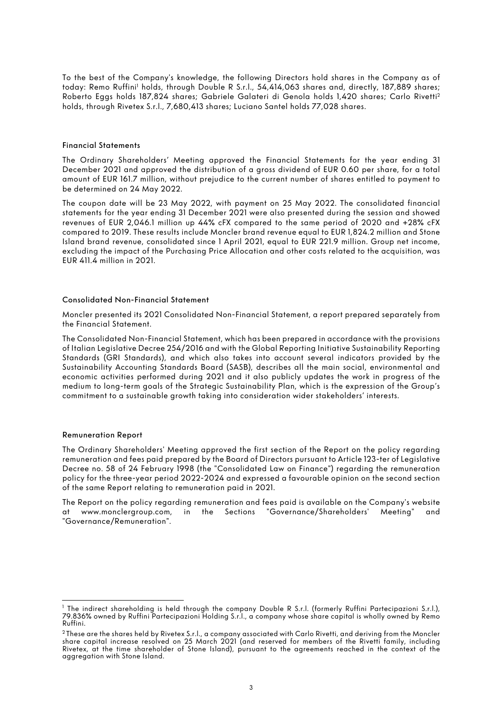To the best of the Company's knowledge, the following Directors hold shares in the Company as of today: Remo Ruffini<sup>1</sup> holds, through Double R S.r.l., 54,414,063 shares and, directly, 187,889 shares; Roberto Eggs holds 187,824 shares; Gabriele Galateri di Genola holds 1,420 shares; Carlo Rivetti2 holds, through Rivetex S.r.l., 7,680,413 shares; Luciano Santel holds 77,028 shares.

#### Financial Statements

The Ordinary Shareholders' Meeting approved the Financial Statements for the year ending 31 December 2021 and approved the distribution of a gross dividend of EUR 0.60 per share, for a total amount of EUR 161.7 million, without prejudice to the current number of shares entitled to payment to be determined on 24 May 2022.

The coupon date will be 23 May 2022, with payment on 25 May 2022. The consolidated financial statements for the year ending 31 December 2021 were also presented during the session and showed revenues of EUR 2,046.1 million up 44% cFX compared to the same period of 2020 and +28% cFX compared to 2019. These results include Moncler brand revenue equal to EUR 1,824.2 million and Stone Island brand revenue, consolidated since 1 April 2021, equal to EUR 221.9 million. Group net income, excluding the impact of the Purchasing Price Allocation and other costs related to the acquisition, was EUR 411.4 million in 2021.

#### Consolidated Non-Financial Statement

Moncler presented its 2021 Consolidated Non-Financial Statement, a report prepared separately from the Financial Statement.

The Consolidated Non-Financial Statement, which has been prepared in accordance with the provisions of Italian Legislative Decree 254/2016 and with the Global Reporting Initiative Sustainability Reporting Standards (GRI Standards), and which also takes into account several indicators provided by the Sustainability Accounting Standards Board (SASB), describes all the main social, environmental and economic activities performed during 2021 and it also publicly updates the work in progress of the medium to long-term goals of the Strategic Sustainability Plan, which is the expression of the Group's commitment to a sustainable growth taking into consideration wider stakeholders' interests.

#### Remuneration Report

The Ordinary Shareholders' Meeting approved the first section of the Report on the policy regarding remuneration and fees paid prepared by the Board of Directors pursuant to Article 123-ter of Legislative Decree no. 58 of 24 February 1998 (the "Consolidated Law on Finance") regarding the remuneration policy for the three-year period 2022-2024 and expressed a favourable opinion on the second section of the same Report relating to remuneration paid in 2021.

The Report on the policy regarding remuneration and fees paid is available on the Company's website at www.monclergroup.com, in the Sections "Governance/Shareholders' Meeting" and "Governance/Remuneration".

<sup>&</sup>lt;sup>1</sup> The indirect shareholding is held through the company Double R S.r.l. (formerly Ruffini Partecipazioni S.r.l.), 79.836% owned by Ruffini Partecipazioni Holding S.r.l., a company whose share capital is wholly owned by Remo Ruffini.

<sup>&</sup>lt;sup>2</sup> These are the shares held by Rivetex S.r.l., a company associated with Carlo Rivetti, and deriving from the Moncler share capital increase resolved on 25 March 2021 (and reserved for members of the Rivetti family, including Rivetex, at the time shareholder of Stone Island), pursuant to the agreements reached in the context of the aggregation with Stone Island.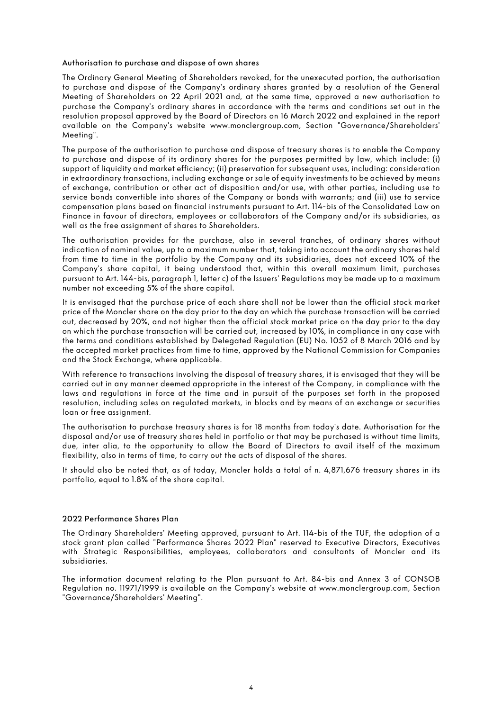#### Authorisation to purchase and dispose of own shares

The Ordinary General Meeting of Shareholders revoked, for the unexecuted portion, the authorisation to purchase and dispose of the Company's ordinary shares granted by a resolution of the General Meeting of Shareholders on 22 April 2021 and, at the same time, approved a new authorisation to purchase the Company's ordinary shares in accordance with the terms and conditions set out in the resolution proposal approved by the Board of Directors on 16 March 2022 and explained in the report available on the Company's website www.monclergroup.com, Section "Governance/Shareholders' Meeting".

The purpose of the authorisation to purchase and dispose of treasury shares is to enable the Company to purchase and dispose of its ordinary shares for the purposes permitted by law, which include: (i) support of liquidity and market efficiency; (ii) preservation for subsequent uses, including: consideration in extraordinary transactions, including exchange or sale of equity investments to be achieved by means of exchange, contribution or other act of disposition and/or use, with other parties, including use to service bonds convertible into shares of the Company or bonds with warrants; and (iii) use to service compensation plans based on financial instruments pursuant to Art. 114-bis of the Consolidated Law on Finance in favour of directors, employees or collaborators of the Company and/or its subsidiaries, as well as the free assignment of shares to Shareholders.

The authorisation provides for the purchase, also in several tranches, of ordinary shares without indication of nominal value, up to a maximum number that, taking into account the ordinary shares held from time to time in the portfolio by the Company and its subsidiaries, does not exceed 10% of the Company's share capital, it being understood that, within this overall maximum limit, purchases pursuant to Art. 144-bis, paragraph 1, letter c) of the Issuers' Regulations may be made up to a maximum number not exceeding 5% of the share capital.

It is envisaged that the purchase price of each share shall not be lower than the official stock market price of the Moncler share on the day prior to the day on which the purchase transaction will be carried out, decreased by 20%, and not higher than the official stock market price on the day prior to the day on which the purchase transaction will be carried out, increased by 10%, in compliance in any case with the terms and conditions established by Delegated Regulation (EU) No. 1052 of 8 March 2016 and by the accepted market practices from time to time, approved by the National Commission for Companies and the Stock Exchange, where applicable.

With reference to transactions involving the disposal of treasury shares, it is envisaged that they will be carried out in any manner deemed appropriate in the interest of the Company, in compliance with the laws and regulations in force at the time and in pursuit of the purposes set forth in the proposed resolution, including sales on regulated markets, in blocks and by means of an exchange or securities loan or free assignment.

The authorisation to purchase treasury shares is for 18 months from today's date. Authorisation for the disposal and/or use of treasury shares held in portfolio or that may be purchased is without time limits, due, inter alia, to the opportunity to allow the Board of Directors to avail itself of the maximum flexibility, also in terms of time, to carry out the acts of disposal of the shares.

It should also be noted that, as of today, Moncler holds a total of n. 4,871,676 treasury shares in its portfolio, equal to 1.8% of the share capital.

#### 2022 Performance Shares Plan

The Ordinary Shareholders' Meeting approved, pursuant to Art. 114-bis of the TUF, the adoption of a stock grant plan called "Performance Shares 2022 Plan" reserved to Executive Directors, Executives with Strategic Responsibilities, employees, collaborators and consultants of Moncler and its subsidiaries.

The information document relating to the Plan pursuant to Art. 84-bis and Annex 3 of CONSOB Regulation no. 11971/1999 is available on the Company's website at www.monclergroup.com, Section "Governance/Shareholders' Meeting".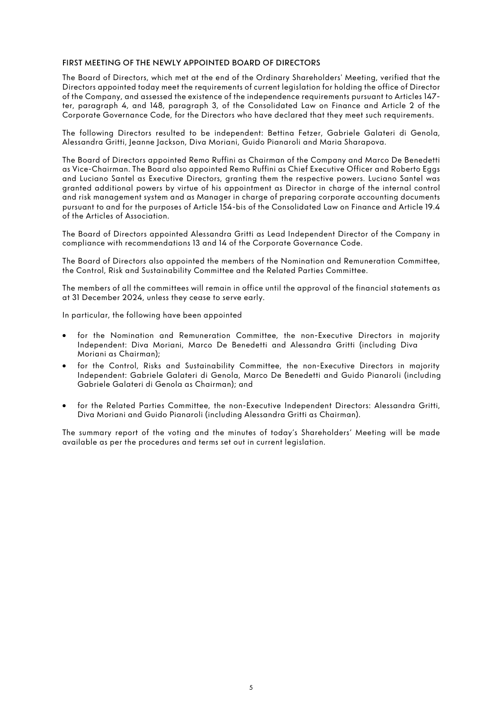#### FIRST MEETING OF THE NEWLY APPOINTED BOARD OF DIRECTORS

The Board of Directors, which met at the end of the Ordinary Shareholders' Meeting, verified that the Directors appointed today meet the requirements of current legislation for holding the office of Director of the Company, and assessed the existence of the independence requirements pursuant to Articles 147 ter, paragraph 4, and 148, paragraph 3, of the Consolidated Law on Finance and Article 2 of the Corporate Governance Code, for the Directors who have declared that they meet such requirements.

The following Directors resulted to be independent: Bettina Fetzer, Gabriele Galateri di Genola, Alessandra Gritti, Jeanne Jackson, Diva Moriani, Guido Pianaroli and Maria Sharapova.

The Board of Directors appointed Remo Ruffini as Chairman of the Company and Marco De Benedetti as Vice-Chairman. The Board also appointed Remo Ruffini as Chief Executive Officer and Roberto Eggs and Luciano Santel as Executive Directors, granting them the respective powers. Luciano Santel was granted additional powers by virtue of his appointment as Director in charge of the internal control and risk management system and as Manager in charge of preparing corporate accounting documents pursuant to and for the purposes of Article 154-bis of the Consolidated Law on Finance and Article 19.4 of the Articles of Association.

The Board of Directors appointed Alessandra Gritti as Lead Independent Director of the Company in compliance with recommendations 13 and 14 of the Corporate Governance Code.

The Board of Directors also appointed the members of the Nomination and Remuneration Committee, the Control, Risk and Sustainability Committee and the Related Parties Committee.

The members of all the committees will remain in office until the approval of the financial statements as at 31 December 2024, unless they cease to serve early.

In particular, the following have been appointed

- for the Nomination and Remuneration Committee, the non-Executive Directors in majority Independent: Diva Moriani, Marco De Benedetti and Alessandra Gritti (including Diva Moriani as Chairman);
- for the Control, Risks and Sustainability Committee, the non-Executive Directors in majority Independent: Gabriele Galateri di Genola, Marco De Benedetti and Guido Pianaroli (including Gabriele Galateri di Genola as Chairman); and
- for the Related Parties Committee, the non-Executive Independent Directors: Alessandra Gritti, Diva Moriani and Guido Pianaroli (including Alessandra Gritti as Chairman).

The summary report of the voting and the minutes of today's Shareholders' Meeting will be made available as per the procedures and terms set out in current legislation.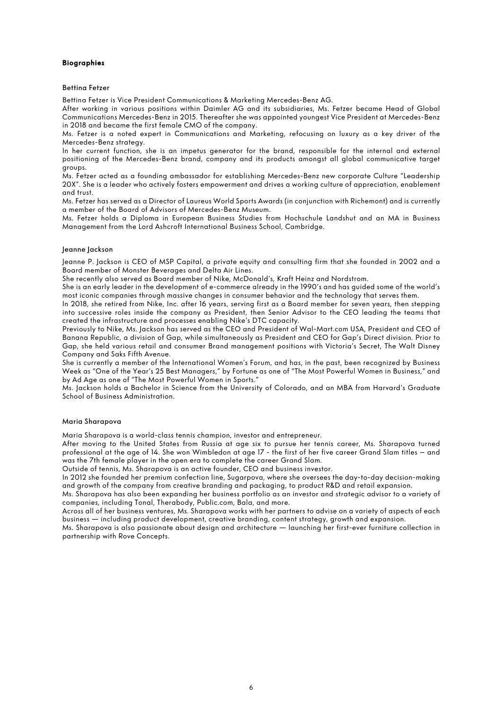#### Biographies

#### Bettina Fetzer

Bettina Fetzer is Vice President Communications & Marketing Mercedes‐Benz AG.

After working in various positions within Daimler AG and its subsidiaries, Ms. Fetzer became Head of Global Communications Mercedes‐Benz in 2015. Thereafter she was appointed youngest Vice President at Mercedes‐Benz in 2018 and became the first female CMO of the company.

Ms. Fetzer is a noted expert in Communications and Marketing, refocusing on luxury as a key driver of the Mercedes‐Benz strategy.

In her current function, she is an impetus generator for the brand, responsible for the internal and external positioning of the Mercedes-Benz brand, company and its products amongst all global communicative target groups.

Ms. Fetzer acted as a founding ambassador for establishing Mercedes‐Benz new corporate Culture "Leadership 20X". She is a leader who actively fosters empowerment and drives a working culture of appreciation, enablement and trust.

Ms. Fetzer has served as a Director of Laureus World Sports Awards (in conjunction with Richemont) and is currently a member of the Board of Advisors of Mercedes‐Benz Museum.

Ms. Fetzer holds a Diploma in European Business Studies from Hochschule Landshut and an MA in Business Management from the Lord Ashcroft International Business School, Cambridge.

#### Jeanne Jackson

Jeanne P. Jackson is CEO of MSP Capital, a private equity and consulting firm that she founded in 2002 and a Board member of Monster Beverages and Delta Air Lines.

She recently also served as Board member of Nike, McDonald's, Kraft Heinz and Nordstrom.

She is an early leader in the development of e-commerce already in the 1990's and has guided some of the world's most iconic companies through massive changes in consumer behavior and the technology that serves them.

In 2018, she retired from Nike, Inc. after 16 years, serving first as a Board member for seven years, then stepping into successive roles inside the company as President, then Senior Advisor to the CEO leading the teams that created the infrastructure and processes enabling Nike's DTC capacity.

Previously to Nike, Ms. Jackson has served as the CEO and President of Wal-Mart.com USA, President and CEO of Banana Republic, a division of Gap, while simultaneously as President and CEO for Gap's Direct division. Prior to Gap, she held various retail and consumer Brand management positions with Victoria's Secret, The Walt Disney Company and Saks Fifth Avenue.

She is currently a member of the International Women's Forum, and has, in the past, been recognized by Business Week as "One of the Year's 25 Best Managers," by Fortune as one of "The Most Powerful Women in Business," and by Ad Age as one of "The Most Powerful Women in Sports."

Ms. Jackson holds a Bachelor in Science from the University of Colorado, and an MBA from Harvard's Graduate School of Business Administration.

#### Maria Sharapova

Maria Sharapova is a world-class tennis champion, investor and entrepreneur.

After moving to the United States from Russia at age six to pursue her tennis career, Ms. Sharapova turned professional at the age of 14. She won Wimbledon at age 17 - the first of her five career Grand Slam titles – and was the 7th female player in the open era to complete the career Grand Slam.

Outside of tennis, Ms. Sharapova is an active founder, CEO and business investor.

In 2012 she founded her premium confection line, Sugarpova, where she oversees the day-to-day decision-making and growth of the company from creative branding and packaging, to product R&D and retail expansion.

Ms. Sharapova has also been expanding her business portfolio as an investor and strategic advisor to a variety of companies, including Tonal, Therabody, Public.com, Bala, and more.

Across all of her business ventures, Ms. Sharapova works with her partners to advise on a variety of aspects of each business — including product development, creative branding, content strategy, growth and expansion.

Ms. Sharapova is also passionate about design and architecture — launching her first-ever furniture collection in partnership with Rove Concepts.